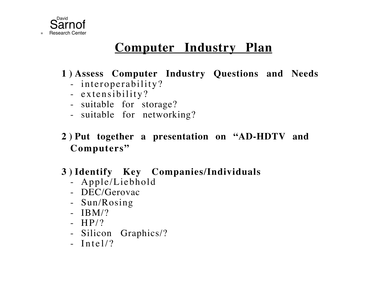

# **Computer Industry Plan**

### **1 ) Assess Computer Industry Questions and Needs**

- interoperability?
- extensibility?
- suitable for storage?
- suitable for networking?
- **2 ) Put together a presentation on "AD-HDTV and Computers"**

### **3 ) Identify Key Companies/Individuals**

- Apple/Liebhold
- DEC/Gerovac
- Sun/Rosing
- IBM/?
- HP/?
- Silicon Graphics/?
- Intel/?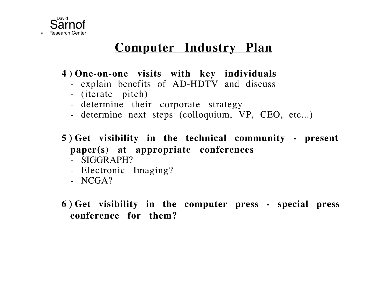

## **Computer Industry Plan**

**4 ) One-on-one visits with key individuals**

- explain benefits of AD-HDTV and discuss
- (iterate pitch)
- determine their corporate strategy
- determine next steps (colloquium, VP, CEO, etc...)
- **5 ) Get visibility in the technical community present paper(s) at appropriate conferences**
	- SIGGRAPH?
	- Electronic Imaging?
	- NCGA?
- **6 ) Get visibility in the computer press special press conference for them?**